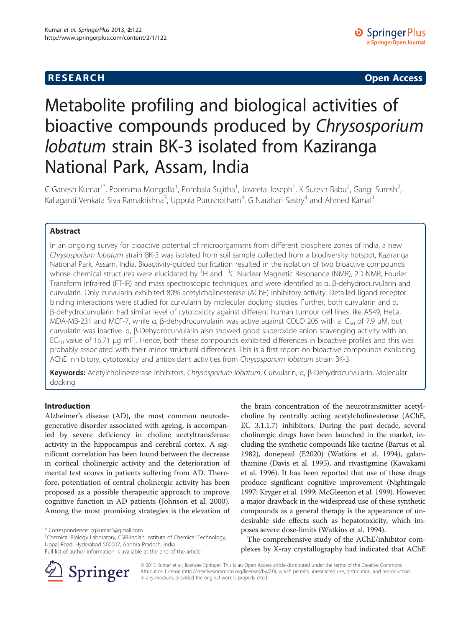# **RESEARCH CHE Open Access**

# Metabolite profiling and biological activities of bioactive compounds produced by Chrysosporium lobatum strain BK-3 isolated from Kaziranga National Park, Assam, India

C Ganesh Kumar<sup>1\*</sup>, Poornima Mongolla<sup>1</sup>, Pombala Sujitha<sup>1</sup>, Joveeta Joseph<sup>1</sup>, K Suresh Babu<sup>2</sup>, Gangi Suresh<sup>2</sup> , Kallaganti Venkata Siva Ramakrishna<sup>3</sup>, Uppula Purushotham<sup>4</sup>, G Narahari Sastry<sup>4</sup> and Ahmed Kamal<sup>1</sup>

# Abstract

In an ongoing survey for bioactive potential of microorganisms from different biosphere zones of India, a new Chrysosporium lobatum strain BK-3 was isolated from soil sample collected from a biodiversity hotspot, Kaziranga National Park, Assam, India. Bioactivity-guided purification resulted in the isolation of two bioactive compounds whose chemical structures were elucidated by <sup>1</sup>H and <sup>13</sup>C Nuclear Magnetic Resonance (NMR), 2D-NMR, Fourier Transform Infra-red (FT-IR) and mass spectroscopic techniques, and were identified as α, β-dehydrocurvularin and curvularin. Only curvularin exhibited 80% acetylcholinesterase (AChE) inhibitory activity. Detailed ligand receptor binding interactions were studied for curvularin by molecular docking studies. Further, both curvularin and α, β-dehydrocurvularin had similar level of cytotoxicity against different human tumour cell lines like A549, HeLa, MDA-MB-231 and MCF-7, while α, β-dehydrocurvularin was active against COLO 205 with a IC<sub>50</sub> of 7.9 μM, but curvularin was inactive. α, β-Dehydrocurvularin also showed good superoxide anion scavenging activity with an  $EC_{50}$  value of 16.71 μg ml<sup>-1</sup>. Hence, both these compounds exhibited differences in bioactive profiles and this was probably associated with their minor structural differences. This is a first report on bioactive compounds exhibiting AChE inhibitory, cytotoxicity and antioxidant activities from Chrysosporium lobatum strain BK-3.

Keywords: Acetylcholinesterase inhibitors, Chrysosporium lobatum, Curvularin, α, β-Dehydrocurvularin, Molecular docking

# Introduction

Alzheimer's disease (AD), the most common neurodegenerative disorder associated with ageing, is accompanied by severe deficiency in choline acetyltransferase activity in the hippocampus and cerebral cortex. A significant correlation has been found between the decrease in cortical cholinergic activity and the deterioration of mental test scores in patients suffering from AD. Therefore, potentiation of central cholinergic activity has been proposed as a possible therapeutic approach to improve cognitive function in AD patients (Johnson et al. [2000](#page-7-0)). Among the most promising strategies is the elevation of

<sup>1</sup>Chemical Biology Laboratory, CSIR-Indian Institute of Chemical Technology, Uppal Road, Hyderabad 500007, Andhra Pradesh, India

Full list of author information is available at the end of the article



the brain concentration of the neurotransmitter acetylcholine by centrally acting acetylcholinesterase (AChE, EC 3.1.1.7) inhibitors. During the past decade, several cholinergic drugs have been launched in the market, including the synthetic compounds like tacrine (Bartus et al. [1982](#page-7-0)), donepezil (E2020) (Watkins et al. [1994](#page-8-0)), galanthamine (Davis et al. [1995\)](#page-7-0), and rivastigmine (Kawakami et al. [1996\)](#page-7-0). It has been reported that use of these drugs produce significant cognitive improvement (Nightingale [1997](#page-8-0); Kryger et al. [1999;](#page-7-0) McGleenon et al. [1999\)](#page-7-0). However, a major drawback in the widespread use of these synthetic compounds as a general therapy is the appearance of undesirable side effects such as hepatotoxicity, which imposes severe dose-limits (Watkins et al. [1994\)](#page-8-0).

The comprehensive study of the AChE/inhibitor complexes by X-ray crystallography had indicated that AChE

© 2013 Kumar et al.; licensee Springer. This is an Open Access article distributed under the terms of the Creative Commons Attribution License [\(http://creativecommons.org/licenses/by/2.0\)](http://creativecommons.org/licenses/by/2.0), which permits unrestricted use, distribution, and reproduction in any medium, provided the original work is properly cited.

<sup>\*</sup> Correspondence: [cgkumar5@gmail.com](mailto:cgkumar5@gmail.com) <sup>1</sup>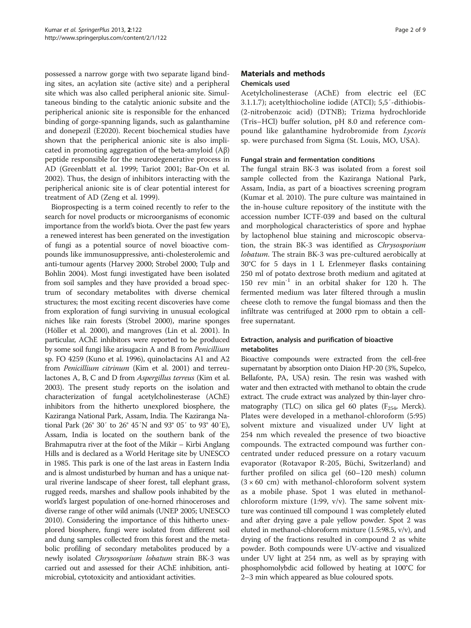possessed a narrow gorge with two separate ligand binding sites, an acylation site (active site) and a peripheral site which was also called peripheral anionic site. Simultaneous binding to the catalytic anionic subsite and the peripherical anionic site is responsible for the enhanced binding of gorge-spanning ligands, such as galanthamine and donepezil (E2020). Recent biochemical studies have shown that the peripherical anionic site is also implicated in promoting aggregation of the beta-amyloid (Aβ) peptide responsible for the neurodegenerative process in AD (Greenblatt et al. [1999](#page-7-0); Tariot [2001;](#page-8-0) Bar-On et al. [2002](#page-7-0)). Thus, the design of inhibitors interacting with the peripherical anionic site is of clear potential interest for treatment of AD (Zeng et al. [1999\)](#page-8-0).

Bioprospecting is a term coined recently to refer to the search for novel products or microorganisms of economic importance from the world's biota. Over the past few years a renewed interest has been generated on the investigation of fungi as a potential source of novel bioactive compounds like immunosuppressive, anti-cholesterolemic and anti-tumour agents (Harvey [2000;](#page-7-0) Strobel [2000;](#page-8-0) Tulp and Bohlin [2004](#page-8-0)). Most fungi investigated have been isolated from soil samples and they have provided a broad spectrum of secondary metabolites with diverse chemical structures; the most exciting recent discoveries have come from exploration of fungi surviving in unusual ecological niches like rain forests (Strobel [2000\)](#page-8-0), marine sponges (Höller et al. [2000\)](#page-7-0), and mangroves (Lin et al. [2001\)](#page-7-0). In particular, AChE inhibitors were reported to be produced by some soil fungi like arisugacin A and B from Penicillium sp. FO 4259 (Kuno et al. [1996](#page-7-0)), quinolactacins A1 and A2 from Penicillium citrinum (Kim et al. [2001\)](#page-7-0) and terreulactones A, B, C and D from Aspergillus terreus (Kim et al. [2003\)](#page-7-0). The present study reports on the isolation and characterization of fungal acetylcholinesterase (AChE) inhibitors from the hitherto unexplored biosphere, the Kaziranga National Park, Assam, India. The Kaziranga National Park (26° 30′ to 26° 45′N and 93° 05′ to 93° 40′E), Assam, India is located on the southern bank of the Brahmaputra river at the foot of the Mikir – Kirbi Anglang Hills and is declared as a World Heritage site by UNESCO in 1985. This park is one of the last areas in Eastern India and is almost undisturbed by human and has a unique natural riverine landscape of sheer forest, tall elephant grass, rugged reeds, marshes and shallow pools inhabited by the world's largest population of one-horned rhinoceroses and diverse range of other wild animals (UNEP [2005](#page-8-0); UNESCO [2010\)](#page-8-0). Considering the importance of this hitherto unexplored biosphere, fungi were isolated from different soil and dung samples collected from this forest and the metabolic profiling of secondary metabolites produced by a newly isolated Chrysosporium lobatum strain BK-3 was carried out and assessed for their AChE inhibition, antimicrobial, cytotoxicity and antioxidant activities.

# Materials and methods Chemicals used

Acetylcholinesterase (AChE) from electric eel (EC 3.1.1.7); acetylthiocholine iodide (ATCI); 5,5′-dithiobis- (2-nitrobenzoic acid) (DTNB); Trizma hydrochloride (Tris–HCl) buffer solution, pH 8.0 and reference compound like galanthamine hydrobromide from Lycoris sp. were purchased from Sigma (St. Louis, MO, USA).

# Fungal strain and fermentation conditions

The fungal strain BK-3 was isolated from a forest soil sample collected from the Kaziranga National Park, Assam, India, as part of a bioactives screening program (Kumar et al. [2010\)](#page-7-0). The pure culture was maintained in the in-house culture repository of the institute with the accession number ICTF-039 and based on the cultural and morphological characteristics of spore and hyphae by lactophenol blue staining and microscopic observation, the strain BK-3 was identified as Chrysosporium lobatum. The strain BK-3 was pre-cultured aerobically at 30°C for 5 days in 1 L Erlenmeyer flasks containing 250 ml of potato dextrose broth medium and agitated at 150 rev  $min^{-1}$  in an orbital shaker for 120 h. The fermented medium was later filtered through a muslin cheese cloth to remove the fungal biomass and then the infiltrate was centrifuged at 2000 rpm to obtain a cellfree supernatant.

# Extraction, analysis and purification of bioactive metabolites

Bioactive compounds were extracted from the cell-free supernatant by absorption onto Diaion HP-20 (3%, Supelco, Bellafonte, PA, USA) resin. The resin was washed with water and then extracted with methanol to obtain the crude extract. The crude extract was analyzed by thin-layer chromatography (TLC) on silica gel 60 plates ( $F_{254}$ , Merck). Plates were developed in a methanol-chloroform (5:95) solvent mixture and visualized under UV light at 254 nm which revealed the presence of two bioactive compounds. The extracted compound was further concentrated under reduced pressure on a rotary vacuum evaporator (Rotavapor R-205, Büchi, Switzerland) and further profiled on silica gel (60–120 mesh) column  $(3 \times 60 \text{ cm})$  with methanol-chloroform solvent system as a mobile phase. Spot 1 was eluted in methanolchloroform mixture  $(1:99, v/v)$ . The same solvent mixture was continued till compound 1 was completely eluted and after drying gave a pale yellow powder. Spot 2 was eluted in methanol-chloroform mixture (1.5:98.5, v/v), and drying of the fractions resulted in compound 2 as white powder. Both compounds were UV-active and visualized under UV light at 254 nm, as well as by spraying with phosphomolybdic acid followed by heating at 100°C for 2–3 min which appeared as blue coloured spots.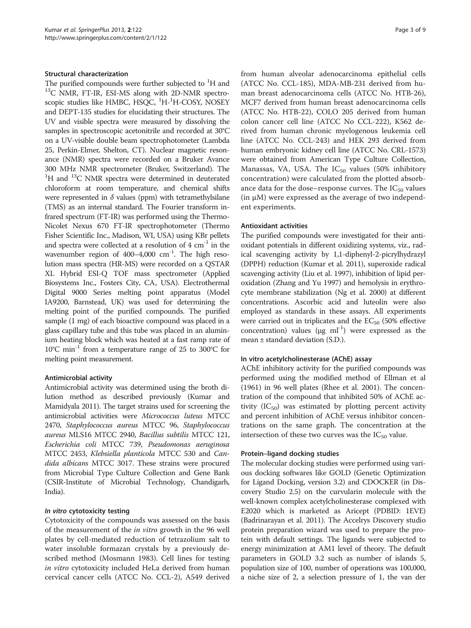# Structural characterization

The purified compounds were further subjected to  ${}^{1}$ H and  $^{13}$ C NMR, FT-IR, ESI-MS along with 2D-NMR spectroscopic studies like HMBC, HSQC, <sup>1</sup>H-<sup>1</sup>H-COSY, NOSEY and DEPT-135 studies for elucidating their structures. The UV and visible spectra were measured by dissolving the samples in spectroscopic acetonitrile and recorded at 30°C on a UV-visible double beam spectrophotometer (Lambda 25, Perkin-Elmer, Shelton, CT). Nuclear magnetic resonance (NMR) spectra were recorded on a Bruker Avance 300 MHz NMR spectrometer (Bruker, Switzerland). The <sup>1</sup>H and <sup>13</sup>C NMR spectra were determined in deuterated chloroform at room temperature, and chemical shifts were represented in  $\delta$  values (ppm) with tetramethylsilane (TMS) as an internal standard. The Fourier transform infrared spectrum (FT-IR) was performed using the Thermo-Nicolet Nexus 670 FT-IR spectrophotometer (Thermo Fisher Scientific Inc., Madison, WI, USA) using KBr pellets and spectra were collected at a resolution of  $4 \text{ cm}^{-1}$  in the wavenumber region of 400-4,000 cm<sup>-1</sup>. The high resolution mass spectra (HR-MS) were recorded on a QSTAR XL Hybrid ESI-Q TOF mass spectrometer (Applied Biosystems Inc., Fosters City, CA, USA). Electrothermal Digital 9000 Series melting point apparatus (Model IA9200, Barnstead, UK) was used for determining the melting point of the purified compounds. The purified sample (1 mg) of each bioactive compound was placed in a glass capillary tube and this tube was placed in an aluminium heating block which was heated at a fast ramp rate of 10<sup>°</sup>C min<sup>-1</sup> from a temperature range of 25 to 300<sup>°</sup>C for melting point measurement.

# Antimicrobial activity

Antimicrobial activity was determined using the broth dilution method as described previously (Kumar and Mamidyala [2011](#page-7-0)). The target strains used for screening the antimicrobial activities were Micrococcus luteus MTCC 2470, Staphylococcus aureus MTCC 96, Staphylococcus aureus MLS16 MTCC 2940, Bacillus subtilis MTCC 121, Escherichia coli MTCC 739, Pseudomonas aeruginosa MTCC 2453, Klebsiella planticola MTCC 530 and Candida albicans MTCC 3017. These strains were procured from Microbial Type Culture Collection and Gene Bank (CSIR-Institute of Microbial Technology, Chandigarh, India).

# In vitro cytotoxicity testing

Cytotoxicity of the compounds was assessed on the basis of the measurement of the in vitro growth in the 96 well plates by cell-mediated reduction of tetrazolium salt to water insoluble formazan crystals by a previously described method (Mosmann [1983](#page-8-0)). Cell lines for testing in vitro cytotoxicity included HeLa derived from human cervical cancer cells (ATCC No. CCL-2), A549 derived

from human alveolar adenocarcinoma epithelial cells (ATCC No. CCL-185), MDA-MB-231 derived from human breast adenocarcinoma cells (ATCC No. HTB-26), MCF7 derived from human breast adenocarcinoma cells (ATCC No. HTB-22), COLO 205 derived from human colon cancer cell line (ATCC No CCL-222), K562 derived from human chronic myelogenous leukemia cell line (ATCC No. CCL-243) and HEK 293 derived from human embryonic kidney cell line (ATCC No. CRL-1573) were obtained from American Type Culture Collection, Manassas, VA, USA. The  $IC_{50}$  values (50% inhibitory concentration) were calculated from the plotted absorbance data for the dose–response curves. The  $IC_{50}$  values  $(in \mu M)$  were expressed as the average of two independent experiments.

#### Antioxidant activities

The purified compounds were investigated for their antioxidant potentials in different oxidizing systems, viz., radical scavenging activity by 1,1-diphenyl-2-picrylhydrazyl (DPPH) reduction (Kumar et al. [2011\)](#page-7-0), superoxide radical scavenging activity (Liu et al. [1997\)](#page-7-0), inhibition of lipid peroxidation (Zhang and Yu [1997\)](#page-8-0) and hemolysis in erythrocyte membrane stabilization (Ng et al. [2000](#page-8-0)) at different concentrations. Ascorbic acid and luteolin were also employed as standards in these assays. All experiments were carried out in triplicates and the  $EC_{50}$  (50% effective concentration) values ( $\mu$ g ml<sup>-1</sup>) were expressed as the mean ± standard deviation (S.D.).

#### In vitro acetylcholinesterase (AChE) assay

AChE inhibitory activity for the purified compounds was performed using the modified method of Ellman et al ([1961\)](#page-7-0) in 96 well plates (Rhee et al. [2001\)](#page-8-0). The concentration of the compound that inhibited 50% of AChE activity  $(IC_{50})$  was estimated by plotting percent activity and percent inhibition of AChE versus inhibitor concentrations on the same graph. The concentration at the intersection of these two curves was the  $IC_{50}$  value.

#### Protein–ligand docking studies

The molecular docking studies were performed using various docking softwares like GOLD (Genetic Optimization for Ligand Docking, version 3.2) and CDOCKER (in Discovery Studio 2.5) on the curvularin molecule with the well-known complex acetylcholinesterase complexed with E2020 which is marketed as Aricept (PDBID: 1EVE) (Badrinarayan et al. [2011](#page-7-0)). The Accelrys Discovery studio protein preparation wizard was used to prepare the protein with default settings. The ligands were subjected to energy minimization at AM1 level of theory. The default parameters in GOLD 3.2 such as number of islands 5, population size of 100, number of operations was 100,000, a niche size of 2, a selection pressure of 1, the van der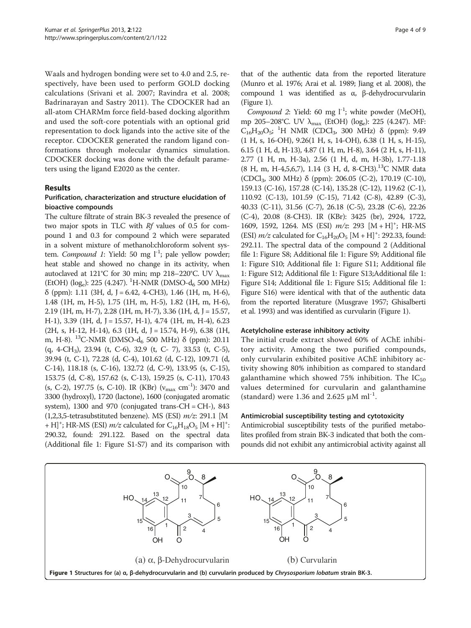<span id="page-3-0"></span>Waals and hydrogen bonding were set to 4.0 and 2.5, respectively, have been used to perform GOLD docking calculations (Srivani et al. [2007;](#page-8-0) Ravindra et al. [2008](#page-8-0); Badrinarayan and Sastry [2011\)](#page-7-0). The CDOCKER had an all-atom CHARMm force field-based docking algorithm and used the soft-core potentials with an optional grid representation to dock ligands into the active site of the receptor. CDOCKER generated the random ligand conformations through molecular dynamics simulation. CDOCKER docking was done with the default parameters using the ligand E2020 as the center.

# Results

# Purification, characterization and structure elucidation of bioactive compounds

The culture filtrate of strain BK-3 revealed the presence of two major spots in TLC with Rf values of 0.5 for compound 1 and 0.3 for compound 2 which were separated in a solvent mixture of methanol:chloroform solvent system. Compound 1: Yield: 50 mg  $l^{-1}$ ; pale yellow powder; heat stable and showed no change in its activity, when autoclaved at 121°C for 30 min; mp 218–220°C. UV  $\lambda_{\text{max}}$ (EtOH) (log<sub>e</sub>): 225 (4.247). <sup>1</sup>H-NMR (DMSO-d<sub>6</sub> 500 MHz)  $\delta$  (ppm): 1.11 (3H, d, J = 6.42, 4-CH3), 1.46 (1H, m, H-6), 1.48 (1H, m, H-5), 1.75 (1H, m, H-5), 1.82 (1H, m, H-6), 2.19 (1H, m, H-7), 2.28 (1H, m, H-7), 3.36 (1H, d, J = 15.57, H-1), 3.39 (1H, d, J = 15.57, H-1), 4.74 (1H, m, H-4), 6.23  $(2H, s, H-12, H-14), 6.3$   $(1H, d, J = 15.74, H-9), 6.38$   $(1H,$ m, H-8). <sup>13</sup>C-NMR (DMSO-d<sub>6</sub> 500 MHz) δ (ppm): 20.11 (q, 4-CH3), 23.94 (t, C-6), 32.9 (t, C- 7), 33.53 (t, C-5), 39.94 (t, C-1), 72.28 (d, C-4), 101.62 (d, C-12), 109.71 (d, C-14), 118.18 (s, C-16), 132.72 (d, C-9), 133.95 (s, C-15), 153.75 (d, C-8), 157.62 (s, C-13), 159.25 (s, C-11), 170.43 (s, C-2), 197.75 (s, C-10). IR (KBr) ( $v_{\text{max}}$  cm<sup>-1</sup>): 3470 and 3300 (hydroxyl), 1720 (lactone), 1600 (conjugated aromatic system), 1300 and 970 (conjugated trans-CH = CH-), 843  $(1,2,3,5$ -tetrasubstituted benzene). MS (ESI)  $m/z$ : 291.1 [M + H]<sup>+</sup>; HR-MS (ESI)  $m/z$  calculated for C<sub>16</sub>H<sub>18</sub>O<sub>5</sub> [M + H]<sup>+</sup>: 290.32, found: 291.122. Based on the spectral data (Additional file [1:](#page-6-0) Figure S1-S7) and its comparison with that of the authentic data from the reported literature (Munro et al. [1976](#page-8-0); Arai et al. [1989;](#page-7-0) Jiang et al. [2008\)](#page-7-0), the compound 1 was identified as α, β-dehydrocurvularin (Figure 1).

Compound 2: Yield: 60 mg  $l^{-1}$ ; white powder (MeOH), mp 205–208°C. UV λmax (EtOH) (loge): 225 (4.247). MF:  $C_{16}H_{20}O_5$ ; <sup>1</sup>H NMR (CDCl<sub>3</sub>, 300 MHz) δ (ppm): 9.49 (1 H, s, 16-OH), 9.26(1 H, s, 14-OH), 6.38 (1 H, s, H-15), 6.15 (1 H, d, H-13), 4.87 (1 H, m, H-8), 3.64 (2 H, s, H-11), 2.77 (1 H, m, H-3a), 2.56 (1 H, d, m, H-3b), 1.77-1.18  $(8 \text{ H, m, H-4,5,6,7}), 1.14 (3 \text{ H, d, 8-CH3}).^{13} \text{C} \text{ NMR data}$ (CDCl3, 300 MHz) δ (ppm): 206.05 (C-2), 170.19 (C-10), 159.13 (C-16), 157.28 (C-14), 135.28 (C-12), 119.62 (C-1), 110.92 (C-13), 101.59 (C-15), 71.42 (C-8), 42.89 (C-3), 40.33 (C-11), 31.56 (C-7), 26.18 (C-5), 23.28 (C-6), 22.26 (C-4), 20.08 (8-CH3). IR (KBr): 3425 (br), 2924, 1722, 1609, 1592, 1264. MS (ESI)  $m/z$ : 293 [M + H]<sup>+</sup>; HR-MS (ESI)  $m/z$  calculated for  $C_{16}H_{20}O_5$  [M + H]<sup>+</sup>: 292.33, found: 292.11. The spectral data of the compound 2 (Additional file [1](#page-6-0): Figure S8; Additional file [1](#page-6-0): Figure S9; Additional file [1](#page-6-0): Figure S10; Additional file [1](#page-6-0): Figure S11; Additional file [1](#page-6-0): Figure S12; Additional file [1](#page-6-0): Figure S13;Additional file [1](#page-6-0): Figure S14; Additional file [1:](#page-6-0) Figure S15; Additional file [1](#page-6-0): Figure S16) were identical with that of the authentic data from the reported literature (Musgrave [1957;](#page-8-0) Ghisalberti et al. [1993](#page-7-0)) and was identified as curvularin (Figure 1).

#### Acetylcholine esterase inhibitory activity

The initial crude extract showed 60% of AChE inhibitory activity. Among the two purified compounds, only curvularin exhibited positive AChE inhibitory activity showing 80% inhibition as compared to standard galanthamine which showed 75% inhibition. The  $IC_{50}$ values determined for curvularin and galanthamine (standard) were 1.36 and 2.625  $\mu$ M ml<sup>-1</sup>.

#### Antimicrobial susceptibility testing and cytotoxicity

Antimicrobial susceptibility tests of the purified metabolites profiled from strain BK-3 indicated that both the compounds did not exhibit any antimicrobial activity against all

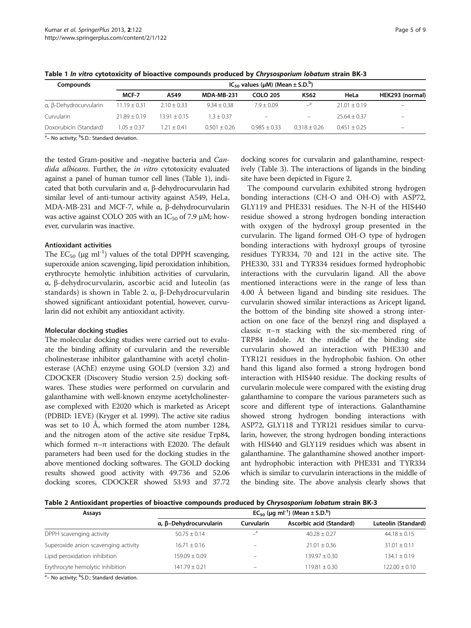| Table 1 In vitro cytotoxicity of bioactive compounds produced by Chrysosporium lobatum strain BK-3 |                                                       |  |  |  |
|----------------------------------------------------------------------------------------------------|-------------------------------------------------------|--|--|--|
| Compounds                                                                                          | $IC_{50}$ values (µM) (Mean $\pm$ S.D. <sup>b</sup> ) |  |  |  |

| Compounds              | $IC_{50}$ values (µM) (Mean $\pm$ S.D. <sup>b</sup> ) |                |               |                 |                          |                  |                          |
|------------------------|-------------------------------------------------------|----------------|---------------|-----------------|--------------------------|------------------|--------------------------|
|                        | MCF-7                                                 | A549           | MDA-MB-231    | <b>COLO 205</b> | K562                     | HeLa             | HEK293 (normal)          |
| a, ß-Dehydrocurvularin | $11.19 + 0.31$                                        | $2.10 + 0.33$  | $9.34 + 0.38$ | $7.9 + 0.09$    | $\mathbf{a}$             | $21.01 + 0.19$   | $\overline{\phantom{m}}$ |
| Curvularin             | $71.89 + 0.19$                                        | $13.91 + 0.15$ | $-3 + 0.37$   | -               | $\overline{\phantom{0}}$ | $25.64 \pm 0.37$ | $\overline{\phantom{m}}$ |

Doxorubicin (Standard)  $1.05 \pm 0.37$   $1.21 \pm 0.41$   $0.501 \pm 0.26$   $0.985 \pm 0.33$   $0.318 \pm 0.26$   $0.451 \pm 0.25$ 

<sup>a</sup> – No activity; <sup>b</sup>S.D.: Standard deviation.

the tested Gram-positive and -negative bacteria and Candida albicans. Further, the in vitro cytotoxicity evaluated against a panel of human tumor cell lines (Table 1), indicated that both curvularin and α, β-dehydrocurvularin had similar level of anti-tumour activity against A549, HeLa, MDA-MB-231 and MCF-7, while α, β-dehydrocurvularin was active against COLO 205 with an  $IC_{50}$  of 7.9  $\mu$ M; however, curvularin was inactive.

#### Antioxidant activities

The  $EC_{50}$  (µg ml<sup>-1</sup>) values of the total DPPH scavenging, superoxide anion scavenging, lipid peroxidation inhibition, erythrocyte hemolytic inhibition activities of curvularin, α, β-dehydrocurvularin, ascorbic acid and luteolin (as standards) is shown in Table 2. α, β-Dehydrocurvularin showed significant antioxidant potential, however, curvularin did not exhibit any antioxidant activity.

#### Molecular docking studies

The molecular docking studies were carried out to evaluate the binding affinity of curvularin and the reversible cholinesterase inhibitor galanthamine with acetyl cholinesterase (AChE) enzyme using GOLD (version 3.2) and CDOCKER (Discovery Studio version 2.5) docking softwares. These studies were performed on curvularin and galanthamine with well-known enzyme acetylcholinesterase complexed with E2020 which is marketed as Aricept (PDBID: 1EVE) (Kryger et al. [1999](#page-7-0)). The active site radius was set to 10 Å, which formed the atom number 1284, and the nitrogen atom of the active site residue Trp84, which formed  $\pi-\pi$  interactions with E2020. The default parameters had been used for the docking studies in the above mentioned docking softwares. The GOLD docking results showed good activity with 49.736 and 52.06 docking scores, CDOCKER showed 53.93 and 37.72 docking scores for curvalarin and galanthamine, respectively (Table [3](#page-5-0)). The interactions of ligands in the binding site have been depicted in Figure [2.](#page-5-0)

The compound curvularin exhibited strong hydrogen bonding interactions (CH-O and OH-O) with ASP72, GLY119 and PHE331 residues. The N-H of the HIS440 residue showed a strong hydrogen bonding interaction with oxygen of the hydroxyl group presented in the curvularin. The ligand formed OH-O type of hydrogen bonding interactions with hydroxyl groups of tyrosine residues TYR334, 70 and 121 in the active site. The PHE330, 331 and TYR334 residues formed hydrophobic interactions with the curvularin ligand. All the above mentioned interactions were in the range of less than 4.00 Å between ligand and binding site residues. The curvularin showed similar interactions as Aricept ligand, the bottom of the binding site showed a strong interaction on one face of the benzyl ring and displayed a classic  $\pi-\pi$  stacking with the six-membered ring of TRP84 indole. At the middle of the binding site curvularin showed an interaction with PHE330 and TYR121 residues in the hydrophobic fashion. On other hand this ligand also formed a strong hydrogen bond interaction with HIS440 residue. The docking results of curvularin molecule were compared with the existing drug galanthamine to compare the various parameters such as score and different type of interactions. Galanthamine showed strong hydrogen bonding interactions with ASP72, GLY118 and TYR121 residues similar to curvularin, however, the strong hydrogen bonding interactions with HIS440 and GLY119 residues which was absent in galanthamine. The galanthamine showed another important hydrophobic interaction with PHE331 and TYR334 which is similar to curvularin interactions in the middle of the binding site. The above analysis clearly shows that

Table 2 Antioxidant properties of bioactive compounds produced by Chrysosporium lobatum strain BK-3

| Assays                                    | $EC_{50}$ (µg ml <sup>-1</sup> ) (Mean ± S.D. <sup>b</sup> ) |            |                          |                     |  |  |
|-------------------------------------------|--------------------------------------------------------------|------------|--------------------------|---------------------|--|--|
|                                           | α, β-Dehydrocurvularin                                       | Curvularin | Ascorbic acid (Standard) | Luteolin (Standard) |  |  |
| DPPH scavenging activity                  | $50.75 \pm 0.14$                                             | -          | $40.28 + 0.27$           | $44.18 + 0.15$      |  |  |
| Superoxide anion scavenging activity      | $16.71 \pm 0.16$                                             |            | $21.01 + 0.36$           | $31.01 + 0.11$      |  |  |
| Lipid peroxidation inhibition             | $159.09 + 0.09$                                              |            | $139.97 + 0.30$          | $134.1 + 0.19$      |  |  |
| Erythrocyte hemolytic inhibition          | $141.79 + 0.21$                                              |            | $119.81 + 0.30$          | $122.00 + 0.10$     |  |  |
| 그 사람들은 그 사람들은 그 사람들은 그 사람들을 지르는 것을 하고 있다. |                                                              |            |                          |                     |  |  |

<sup>a</sup> – No activity; <sup>b</sup>S.D.: Standard deviation.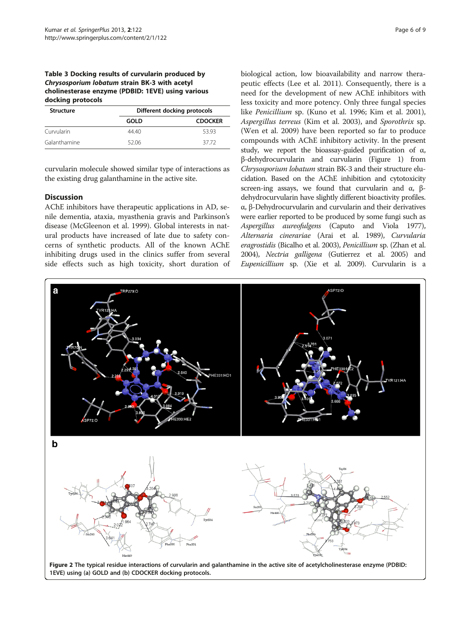# <span id="page-5-0"></span>Table 3 Docking results of curvularin produced by Chrysosporium lobatum strain BK-3 with acetyl cholinesterase enzyme (PDBID: 1EVE) using various docking protocols

| <b>Structure</b> | Different docking protocols |                |  |  |
|------------------|-----------------------------|----------------|--|--|
|                  | GOLD                        | <b>CDOCKER</b> |  |  |
| Curvularin       | 4440                        | 53.93          |  |  |
| Galanthamine     | 52.06                       | 37.72          |  |  |

curvularin molecule showed similar type of interactions as the existing drug galanthamine in the active site.

# **Discussion**

AChE inhibitors have therapeutic applications in AD, senile dementia, ataxia, myasthenia gravis and Parkinson's disease (McGleenon et al. [1999](#page-7-0)). Global interests in natural products have increased of late due to safety concerns of synthetic products. All of the known AChE inhibiting drugs used in the clinics suffer from several side effects such as high toxicity, short duration of

biological action, low bioavailability and narrow therapeutic effects (Lee et al. [2011](#page-7-0)). Consequently, there is a need for the development of new AChE inhibitors with less toxicity and more potency. Only three fungal species like Penicillium sp. (Kuno et al. [1996;](#page-7-0) Kim et al. [2001](#page-7-0)), Aspergillus terreus (Kim et al. [2003\)](#page-7-0), and Sporothrix sp. (Wen et al. [2009](#page-8-0)) have been reported so far to produce compounds with AChE inhibitory activity. In the present study, we report the bioassay-guided purification of α, β-dehydrocurvularin and curvularin (Figure [1\)](#page-3-0) from Chrysosporium lobatum strain BK-3 and their structure elucidation. Based on the AChE inhibition and cytotoxicity screen-ing assays, we found that curvularin and  $\alpha$ ,  $\beta$ dehydrocurvularin have slightly different bioactivity profiles. α, β-Dehydrocurvularin and curvularin and their derivatives were earlier reported to be produced by some fungi such as Aspergillus aureofulgens (Caputo and Viola [1977](#page-7-0)), Alternaria cinerariae (Arai et al. [1989\)](#page-7-0), Curvularia eragrostidis (Bicalho et al. [2003\)](#page-7-0), Penicillium sp. (Zhan et al. [2004\)](#page-8-0), Nectria galligena (Gutierrez et al. [2005](#page-7-0)) and Eupenicillium sp. (Xie et al. [2009](#page-8-0)). Curvularin is a

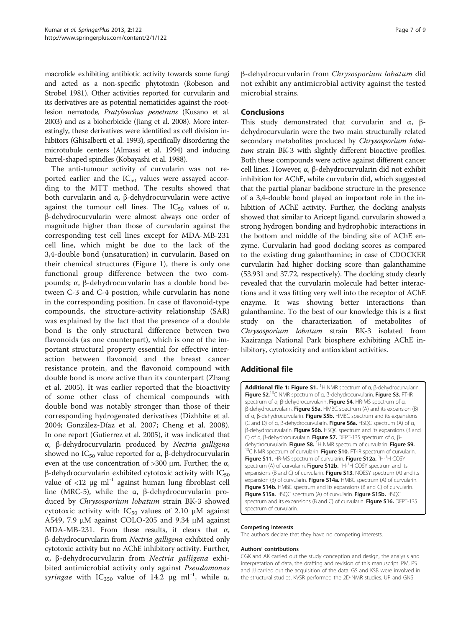<span id="page-6-0"></span>macrolide exhibiting antibiotic activity towards some fungi and acted as a non-specific phytotoxin (Robeson and Strobel [1981\)](#page-8-0). Other activities reported for curvularin and its derivatives are as potential nematicides against the rootlesion nematode, Pratylenchus penetrans (Kusano et al. [2003\)](#page-7-0) and as a bioherbicide (Jiang et al. [2008](#page-7-0)). More interestingly, these derivatives were identified as cell division inhibitors (Ghisalberti et al. [1993](#page-7-0)), specifically disordering the microtubule centers (Almassi et al. [1994](#page-7-0)) and inducing barrel-shaped spindles (Kobayashi et al. [1988](#page-7-0)).

The anti-tumour activity of curvularin was not reported earlier and the  $IC_{50}$  values were assayed according to the MTT method. The results showed that both curvularin and α, β-dehydrocurvularin were active against the tumour cell lines. The  $IC_{50}$  values of  $\alpha$ , β-dehydrocurvularin were almost always one order of magnitude higher than those of curvularin against the corresponding test cell lines except for MDA-MB-231 cell line, which might be due to the lack of the 3,4-double bond (unsaturation) in curvularin. Based on their chemical structures (Figure [1\)](#page-3-0), there is only one functional group difference between the two compounds; α, β-dehydrocurvularin has a double bond between C-3 and C-4 position, while curvularin has none in the corresponding position. In case of flavonoid-type compounds, the structure-activity relationship (SAR) was explained by the fact that the presence of a double bond is the only structural difference between two flavonoids (as one counterpart), which is one of the important structural property essential for effective interaction between flavonoid and the breast cancer resistance protein, and the flavonoid compound with double bond is more active than its counterpart (Zhang et al. [2005\)](#page-8-0). It was earlier reported that the bioactivity of some other class of chemical compounds with double bond was notably stronger than those of their corresponding hydrogenated derivatives (Dizhbite et al. [2004;](#page-7-0) González-Díaz et al. [2007;](#page-7-0) Cheng et al. [2008](#page-7-0)). In one report (Gutierrez et al. [2005](#page-7-0)), it was indicated that α, β-dehydrocurvularin produced by Nectria galligena showed no  $IC_{50}$  value reported for α, β-dehydrocurvularin even at the use concentration of  $>$ 300 μm. Further, the α, β-dehydrocurvularin exhibited cytotoxic activity with  $IC_{50}$ value of  $\langle 12 \mu g \text{ ml}^{-1}$  against human lung fibroblast cell line (MRC-5), while the α, β-dehydrocurvularin produced by Chrysosporium lobatum strain BK-3 showed cytotoxic activity with  $IC_{50}$  values of 2.10  $\mu$ M against A549, 7.9 μM against COLO-205 and 9.34 μM against MDA-MB-231. From these results, it clears that  $\alpha$ , β-dehydrocurvularin from Nectria galligena exhibited only cytotoxic activity but no AChE inhibitory activity. Further, α, β-dehydrocurvularin from Nectria galligena exhibited antimicrobial activity only against Pseudomonas *syringae* with IC<sub>350</sub> value of 14.2 μg ml<sup>-1</sup>, while  $\alpha$ , β-dehydrocurvularin from Chrysosporium lobatum did not exhibit any antimicrobial activity against the tested microbial strains.

# **Conclusions**

This study demonstrated that curvularin and  $\alpha$ , βdehydrocurvularin were the two main structurally related secondary metabolites produced by Chrysosporium lobatum strain BK-3 with slightly different bioactive profiles. Both these compounds were active against different cancer cell lines. However, α, β-dehydrocurvularin did not exhibit inhibition for AChE, while curvularin did, which suggested that the partial planar backbone structure in the presence of a 3,4-double bond played an important role in the inhibition of AChE activity. Further, the docking analysis showed that similar to Aricept ligand, curvularin showed a strong hydrogen bonding and hydrophobic interactions in the bottom and middle of the binding site of AChE enzyme. Curvularin had good docking scores as compared to the existing drug galanthamine; in case of CDOCKER curvularin had higher docking score than galanthamine (53.931 and 37.72, respectively). The docking study clearly revealed that the curvularin molecule had better interactions and it was fitting very well into the receptor of AChE enzyme. It was showing better interactions than galanthamine. To the best of our knowledge this is a first study on the characterization of metabolites of Chrysosporium lobatum strain BK-3 isolated from Kaziranga National Park biosphere exhibiting AChE inhibitory, cytotoxicity and antioxidant activities.

# Additional file

[Additional file 1: Figure S1.](http://www.biomedcentral.com/content/supplementary/2193-1801-2-122-S1.doc) <sup>1</sup>H NMR spectrum of α, β-dehydrocurvularin. **Figure S2.**<sup>13</sup>C NMR spectrum of α, β-dehydrocurvularin. Figure S3. FT-IR spectrum of α, β-dehydrocurvularin. Figure S4. HR-MS spectrum of α, β-dehydrocurvularin. Figure S5a. HMBC spectrum (A) and its expansion (B) of α, β-dehydrocurvularin. Figure S5b. HMBC spectrum and its expansions (C and D) of α, β-dehydrocurvularin. Figure S6a. HSQC spectrum (A) of α, β-dehydrocurvularin. Figure S6b. HSQC spectrum and its expansions (B and C) of α, β-dehydrocurvularin. Figure S7. DEPT-135 spectrum of α, βdehydrocurvularin. Figure S8. <sup>1</sup>H NMR spectrum of curvularin. Figure S9. <sup>3</sup>C NMR spectrum of curvularin. Figure S10. FT-IR spectrum of curvularin. Figure S11. HR-MS spectrum of curvularin. Figure S12a. <sup>1</sup>H-<sup>1</sup>H COSY spectrum (A) of curvularin. Figure S12b. <sup>1</sup>H-<sup>1</sup>H COSY spectrum and its expansions (B and C) of curvularin. Figure S13. NOESY spectrum (A) and its expansion (B) of curvularin. Figure S14a. HMBC spectrum (A) of curvularin. Figure S14b. HMBC spectrum and its expansions (B and C) of curvularin. Figure S15a. HSQC spectrum (A) of curvularin. Figure S15b. HSQC spectrum and its expansions (B and C) of curvularin. Figure S16. DEPT-135 spectrum of curvularin.

#### Competing interests

The authors declare that they have no competing interests.

#### Authors' contributions

CGK and AK carried out the study conception and design, the analysis and interpretation of data, the drafting and revision of this manuscript. PM, PS and JJ carried out the acquisition of the data. GS and KSB were involved in the structural studies. KVSR performed the 2D-NMR studies. UP and GNS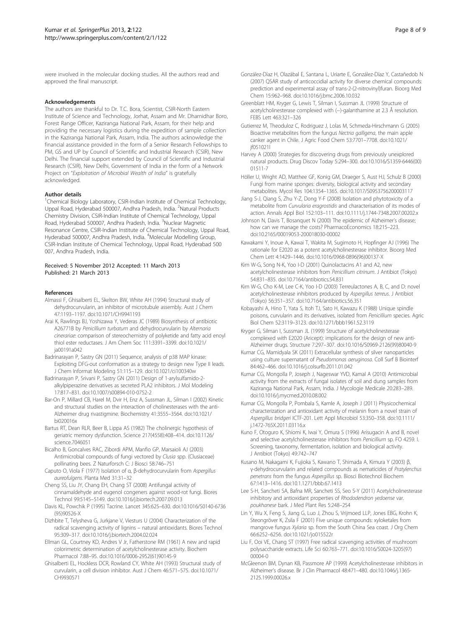<span id="page-7-0"></span>were involved in the molecular docking studies. All the authors read and approved the final manuscript.

#### Acknowledgements

The authors are thankful to Dr. T.C. Bora, Scientist, CSIR-North Eastern Institute of Science and Technology, Jorhat, Assam and Mr. Dharnidhar Boro, Forest Range Officer, Kaziranga National Park, Assam, for their help and providing the necessary logistics during the expedition of sample collection in the Kaziranga National Park, Assam, India. The authors acknowledge the financial assistance provided in the form of a Senior Research Fellowships to PM, GS and UP by Council of Scientific and Industrial Research (CSIR), New Delhi. The financial support extended by Council of Scientific and Industrial Research (CSIR), New Delhi, Government of India in the form of a Network Project on "Exploitation of Microbial Wealth of India" is gratefully acknowledged.

#### Author details

<sup>1</sup>Chemical Biology Laboratory, CSIR-Indian Institute of Chemical Technology, Uppal Road, Hyderabad 500007, Andhra Pradesh, India. <sup>2</sup>Natural Products Chemistry Division, CSIR-Indian Institute of Chemical Technology, Uppal Road, Hyderabad 500007, Andhra Pradesh, India. <sup>3</sup>Nuclear Magnetic Resonance Centre, CSIR-Indian Institute of Chemical Technology, Uppal Road, Hyderabad 500007, Andhra Pradesh, India. <sup>4</sup>Molecular Modelling Group, CSIR-Indian Institute of Chemical Technology, Uppal Road, Hyderabad 500 007, Andhra Pradesh, India.

#### Received: 5 November 2012 Accepted: 11 March 2013 Published: 21 March 2013

#### References

- Almassi F, Ghisalberti EL, Skelton BW, White AH (1994) Structural study of dehydrocurvularin, an inhibitor of microtubule assembly. Aust J Chem 47:1193–1197. doi[:10.1071/CH9941193](http://dx.doi.org/10.1071/CH9941193)
- Arai K, Rawlings BJ, Yoshizawa Y, Vederas JC (1989) Biosynthesis of antibiotic A26771B by Penicillium turbatum and dehydrocurvularin by Alternaria cinerariae: comparison of stereochemistry of polyketide and fatty acid enoyl thiol ester reductases. J Am Chem Soc 111:3391–3399. doi:[10.1021/](http://dx.doi.org/10.1021/ja00191a042) [ja00191a042](http://dx.doi.org/10.1021/ja00191a042)
- Badrinarayan P, Sastry GN (2011) Sequence, analysis of p38 MAP kinase: Exploiting DFG-out conformation as a strategy to design new Type II leads. J Chem Informat Modeling 51:115–129. doi:[10.1021/ci100340w](http://dx.doi.org/10.1021/ci100340w)
- Badrinarayan P, Srivani P, Sastry GN (2011) Design of 1-arylsulfamido-2 alkylpiperazine derivatives as secreted PLA2 inhibitors. J Mol Modeling 17:817–831. doi[:10.1007/s00894-010-0752-2](http://dx.doi.org/10.1007/s00894-010-0752-2)
- Bar-On P, Millard CB, Harel M, Dvir H, Enz A, Sussman JL, Silman I (2002) Kinetic and structural studies on the interaction of cholinesterases with the anti-Alzheimer drug rivastigmine. Biochemistry 41:3555–3564. doi:[10.1021/](http://dx.doi.org/10.1021/bi020016x) [bi020016x](http://dx.doi.org/10.1021/bi020016x)
- Bartus RT, Dean RLR, Beer B, Lippa AS (1982) The cholinergic hypothesis of geriatric memory dysfunction. Science 217(4558):408–414. doi:[10.1126/](http://dx.doi.org/10.1126/science.7046051) [science.7046051](http://dx.doi.org/10.1126/science.7046051)
- Bicalho B, Goncalves RAC, Zibordi APM, Manfio GP, Marsaioli AJ (2003) Antimicrobial compounds of fungi vectored by Clusia spp. (Clusiaceae) pollinating bees. Z Naturforsch C: J Biosci 58:746–751
- Caputo O, Viola F (1977) Isolation of α, β-dehydrocurvularin from Aspergillus aureofulgens. Planta Med 31:31–32
- Cheng SS, Liu JY, Chang EH, Chang ST (2008) Antifungal activity of cinnamaldehyde and eugenol congeners against wood-rot fungi. Biores Technol 99:5145–5149. doi:[10.1016/j.biortech.2007.09.013](http://dx.doi.org/10.1016/j.biortech.2007.09.013)
- Davis KL, Powchik P (1995) Tacrine. Lancet 345:625–630. doi:[10.1016/S0140-6736](http://dx.doi.org/10.1016/S0140-6736(95)90526-X) [\(95\)90526-X](http://dx.doi.org/10.1016/S0140-6736(95)90526-X)
- Dizhbite T, Telysheva G, Jurkjane V, Viesturs U (2004) Characterization of the radical scavenging activity of lignins – natural antioxidants. Biores Technol 95:309–317. doi[:10.1016/j.biortech.2004.02.024](http://dx.doi.org/10.1016/j.biortech.2004.02.024)
- Ellman GL, Courtney KD, Andres V Jr, Fatherstone RM (1961) A new and rapid colorimetric determination of acetylcholinesterase activity. Biochem Pharmacol 7:88–95. doi[:10.1016/0006-2952\(61\)90145-9](http://dx.doi.org/10.1016/0006-2952(61)90145-9)
- Ghisalberti EL, Hockless DCR, Rowland CY, White AH (1993) Structural study of curvularin, a cell division inhibitor. Aust J Chem 46:571–575. doi:[10.1071/](http://dx.doi.org/10.1071/CH9930571) [CH9930571](http://dx.doi.org/10.1071/CH9930571)
- González-Díaz H, Olazábal E, Santana L, Uriarte E, González-Díaz Y, Castañedob N (2007) QSAR study of anticoccidial activity for diverse chemical compounds: prediction and experimental assay of trans-2-(2-nitrovinyl)furan. Bioorg Med Chem 15:962–968. doi:[10.1016/j.bmc.2006.10.032](http://dx.doi.org/10.1016/j.bmc.2006.10.032)
- Greenblatt HM, Kryger G, Lewis T, Silman I, Sussman JL (1999) Structure of acetylcholinesterase complexed with (−)-galanthamine at 2.3 Å resolution. FEBS Lett 463:321–326
- Gutierrez M, Theoduloz C, Rodriguez J, Lolas M, Schmeda-Hirschmann G (2005) Bioactive metabolites from the fungus Nectria galligena, the main apple canker agent in Chile. J Agric Food Chem 53:7701–7708. doi:[10.1021/](http://dx.doi.org/10.1021/jf051021l) [jf051021l](http://dx.doi.org/10.1021/jf051021l)
- Harvey A (2000) Strategies for discovering drugs from previously unexplored natural products. Drug Discov Today 5:294–300. doi:[10.1016/S1359-6446\(00\)](http://dx.doi.org/10.1016/S1359-6446(00)01511-7) [01511-7](http://dx.doi.org/10.1016/S1359-6446(00)01511-7)
- Höller U, Wright AD, Matthee GF, Konig GM, Draeger S, Aust HJ, Schulz B (2000) Fungi from marine sponges: diversity, biological activity and secondary metabolites. Mycol Res 104:1354–1365. doi[:10.1017/S0953756200003117](http://dx.doi.org/10.1017/S0953756200003117)
- Jiang S-J, Qiang S, Zhu Y-Z, Dong Y-F (2008) Isolation and phytotoxicity of a metabolite from Curvularia eragrostidis and characterisation of its modes of action. Annals Appl Biol 152:103–111. doi:[10.1111/j.1744-7348.2007.00202.x](http://dx.doi.org/10.1111/j.1744-7348.2007.00202.x)
- Johnson N, Davis T, Bosanquet N (2000) The epidemic of Alzheimer's disease; how can we manage the costs? PharmacoEconomics 18:215–223. doi[:10.2165/00019053-200018030-00002](http://dx.doi.org/10.2165/00019053-200018030-00002)
- Kawakami Y, Inoue A, Kawai T, Wakita M, Sugimoto H, Hopfinger AJ (1996) The rationale for E2020 as a potent acetylcholinesterase inhibitor. Bioorg Med Chem Lett 4:1429–1446. doi:[10.1016/0968-0896\(96\)00137-X](http://dx.doi.org/10.1016/0968-0896(96)00137-X)
- Kim W-G, Song N-K, Yoo I-D (2001) Quinolactacins A1 and A2, new acetylcholinesterase inhibitors from Penicillium citrinum. J Antibiot (Tokyo) 54:831–835. doi[:10.7164/antibiotics.54.831](http://dx.doi.org/10.7164/antibiotics.54.831)
- Kim W-G, Cho K-M, Lee C-K, Yoo I-D (2003) Terreulactones A, B, C, and D: novel acetylcholinesterase inhibitors produced by Aspergillus terreus. J Antibiot (Tokyo) 56:351–357. doi[:10.7164/antibiotics.56.351](http://dx.doi.org/10.7164/antibiotics.56.351)
- Kobayashi A, Hino T, Yata S, Itoh TJ, Sato H, Kawazu K (1988) Unique spindle poisons, curvularin and its derivatives, isolated from Penicillium species. Agric Biol Chem 52:3119–3123. doi:[10.1271/bbb1961.52.3119](http://dx.doi.org/10.1271/bbb1961.52.3119)
- Kryger G, Silman I, Sussman JL (1999) Structure of acetylcholinesterase complexed with E2020 (Aricept): implications for the design of new anti-Alzheimer drugs. Structure 7:297–307. doi:[10.1016/S0969-2126\(99\)80040-9](http://dx.doi.org/10.1016/S0969-2126(99)80040-9)
- Kumar CG, Mamidyala SK (2011) Extracellular synthesis of silver nanoparticles using culture supernatant of Pseudomonas aeruginosa. Coll Surf B Biointerf 84:462–466. doi[:10.1016/j.colsurfb.2011.01.042](http://dx.doi.org/10.1016/j.colsurfb.2011.01.042)
- Kumar CG, Mongolla P, Joseph J, Nageswar YVD, Kamal A (2010) Antimicrobial activity from the extracts of fungal isolates of soil and dung samples from Kaziranga National Park, Assam, India. J Mycologie Medicale 20:283–289. doi[:10.1016/j.mycmed.2010.08.002](http://dx.doi.org/10.1016/j.mycmed.2010.08.002)
- Kumar CG, Mongolla P, Pombala S, Kamle A, Joseph J (2011) Physicochemical characterization and antioxidant activity of melanin from a novel strain of Aspergillus bridgeri ICTF-201. Lett Appl Microbiol 53:350–358. doi:[10.1111/](http://dx.doi.org/10.1111/j.1472-765X.2011.03116.x) [j.1472-765X.2011.03116.x](http://dx.doi.org/10.1111/j.1472-765X.2011.03116.x)
- Kuno F, Otoguro K, Shiomi K, Iwai Y, Omura S (1996) Arisugacin A and B, novel and selective acetylcholinesterase inhibitors from Penicillium sp. FO 4259. I. Screening, taxonomy, fermentation, isolation and biological activity. J Antibiot (Tokyo) 49:742–747
- Kusano M, Nakagami K, Fujioka S, Kawano T, Shimada A, Kimura Y (2003) β, γ-dehydrocurvularin and related compounds as nematicides of Pratylenchus penetrans from the fungus Aspergillus sp. Biosci Biotechnol Biochem 67:1413–1416. doi[:10.1.1271/bbb.67.1413](http://dx.doi.org/10.1.1271/bbb.67.1413)
- Lee S-H, Sancheti SA, Bafna MR, Sancheti SS, Seo S-Y (2011) Acetylcholinesterase inhibitory and antioxidant properties of Rhododendron yedoense var. poukhanese bark. J Med Plant Res 5:248–254
- Lin Y, Wu X, Feng S, Jiang G, Luo J, Zhou S, Vrijmoed LLP, Jones EBG, Krohn K, Steongröver K, Zsila F (2001) Five unique compounds: xyloketales from mangrove fungus Xylaria sp. from the South China Sea coast. J Org Chem 66:6252–6256. doi[:10.1021/jo015522r](http://dx.doi.org/10.1021/jo015522r)
- Liu F, Ooi VE, Chang ST (1997) Free radical scavenging activities of mushroom polysaccharide extracts. Life Sci 60:763–771. doi:[10.1016/S0024-3205\(97\)](http://dx.doi.org/10.1016/S0024-3205(97)00004-0) [00004-0](http://dx.doi.org/10.1016/S0024-3205(97)00004-0)
- McGleenon BM, Dynan KB, Passmore AP (1999) Acetylcholinesterase inhibitors in Alzheimer's disease. Br J Clin Pharmacol 48:471–480. doi:[10.1046/j.1365-](http://dx.doi.org/10.1046/j.1365-2125.1999.00026.x) [2125.1999.00026.x](http://dx.doi.org/10.1046/j.1365-2125.1999.00026.x)